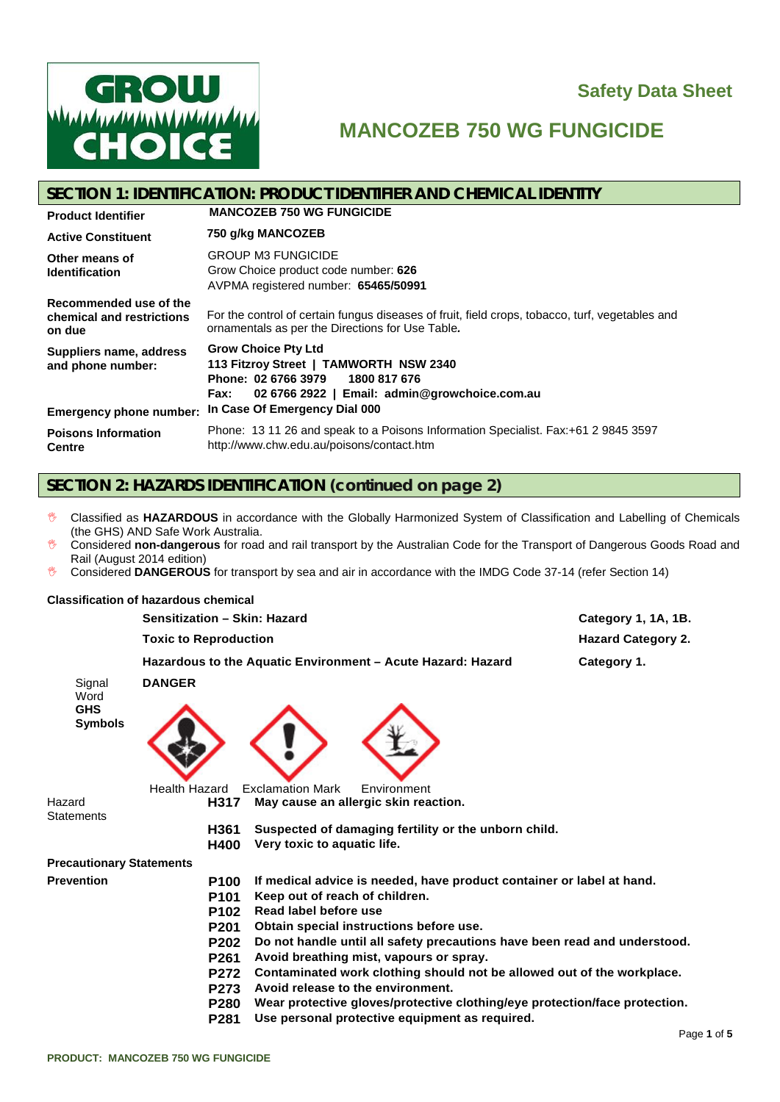# **Safety Data Sheet**



# **MANCOZEB 750 WG FUNGICIDE**

| <b>SECTION 1: IDENTIFICATION: PRODUCT IDENTIFIER AND CHEMICAL IDENTITY</b> |                                                                                                                                                                             |  |
|----------------------------------------------------------------------------|-----------------------------------------------------------------------------------------------------------------------------------------------------------------------------|--|
| <b>Product Identifier</b>                                                  | <b>MANCOZEB 750 WG FUNGICIDE</b>                                                                                                                                            |  |
| <b>Active Constituent</b>                                                  | 750 g/kg MANCOZEB                                                                                                                                                           |  |
| Other means of<br><b>Identification</b>                                    | <b>GROUP M3 FUNGICIDE</b><br>Grow Choice product code number: 626<br>AVPMA registered number: 65465/50991                                                                   |  |
| Recommended use of the<br>chemical and restrictions<br>on due              | For the control of certain fungus diseases of fruit, field crops, tobacco, turf, vegetables and<br>ornamentals as per the Directions for Use Table.                         |  |
| Suppliers name, address<br>and phone number:                               | <b>Grow Choice Pty Ltd</b><br>113 Fitzroy Street   TAMWORTH NSW 2340<br>Phone: 02 6766 3979<br>1800 817 676<br>02 6766 2922   Email: admin@growchoice.com.au<br><b>Fax:</b> |  |
| <b>Emergency phone number:</b>                                             | In Case Of Emergency Dial 000                                                                                                                                               |  |
| <b>Poisons Information</b><br><b>Centre</b>                                | Phone: 13 11 26 and speak to a Poisons Information Specialist. Fax:+61 2 9845 3597<br>http://www.chw.edu.au/poisons/contact.htm                                             |  |

# **SECTION 2: HAZARDS IDENTIFICATION (continued on page 2)**

- Classified as **HAZARDOUS** in accordance with the Globally Harmonized System of Classification and Labelling of Chemicals (the GHS) AND Safe Work Australia.
- Considered **non-dangerous** for road and rail transport by the Australian Code for the Transport of Dangerous Goods Road and Rail (August 2014 edition)
- **Considered DANGEROUS** for transport by sea and air in accordance with the IMDG Code 37-14 (refer Section 14)

#### **Classification of hazardous chemical**

**DANGER**

**Sensitization – Skin: Hazard Category 1, 1A, 1B.**

**Toxic to Reproduction Hazard Category 2. Hazard Category 2. Hazard Category 2.** 

**Hazardous to the Aquatic Environment – Acute Hazard: Hazard Category 1.**

**Signal Word GHS Symbols**



Hazard **Statements** 

- 
- **H361 Suspected of damaging fertility or the unborn child. H400 Very toxic to aquatic life.**

#### **Precautionary Statements**

| <b>Prevention</b> |  |  |  |  |  |  |  |
|-------------------|--|--|--|--|--|--|--|
|-------------------|--|--|--|--|--|--|--|

- **P100** If medical advice is needed, have product container or label at hand.
	- **P101 Keep out of reach of children.**
	- **P102 Read label before use**
	- **Obtain special instructions before use.**

**H317 May cause an allergic skin reaction.**

- **P202 Do not handle until all safety precautions have been read and understood.**
- **P261 Avoid breathing mist, vapours or spray.**
- **P272 Contaminated work clothing should not be allowed out of the workplace.**
- **P273 Avoid release to the environment.**
- **P280 Wear protective gloves/protective clothing/eye protection/face protection.**
- Use personal protective equipment as required.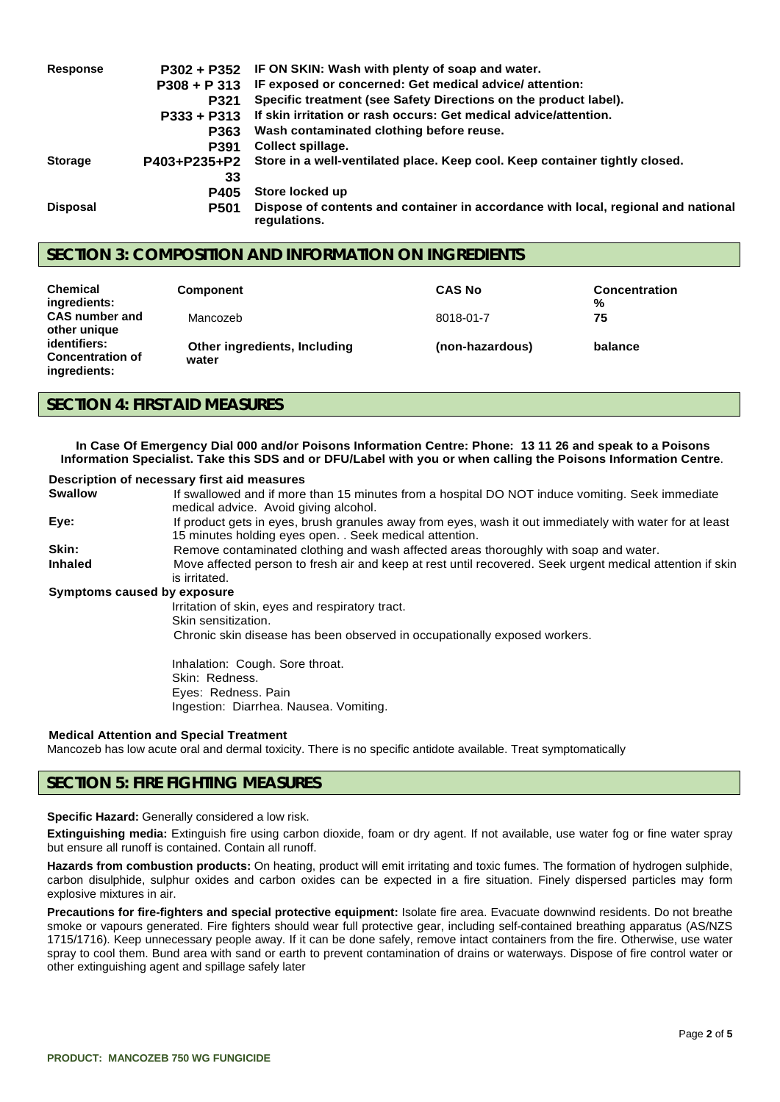| Response        |               | P302 + P352 IF ON SKIN: Wash with plenty of soap and water.                                       |
|-----------------|---------------|---------------------------------------------------------------------------------------------------|
|                 | $P308 + P313$ | IF exposed or concerned: Get medical advice/attention:                                            |
|                 | <b>P321</b>   | Specific treatment (see Safety Directions on the product label).                                  |
|                 | $P333 + P313$ | If skin irritation or rash occurs: Get medical advice/attention.                                  |
|                 | <b>P363</b>   | Wash contaminated clothing before reuse.                                                          |
|                 | P391          | Collect spillage.                                                                                 |
| <b>Storage</b>  | P403+P235+P2  | Store in a well-ventilated place. Keep cool. Keep container tightly closed.                       |
|                 | 33            |                                                                                                   |
|                 | <b>P405</b>   | Store locked up                                                                                   |
| <b>Disposal</b> | <b>P501</b>   | Dispose of contents and container in accordance with local, regional and national<br>regulations. |

#### **SECTION 3: COMPOSITION AND INFORMATION ON INGREDIENTS**

| <b>Chemical</b><br>ingredients:                         | <b>Component</b>                      | <b>CAS No</b>   | <b>Concentration</b><br>% |
|---------------------------------------------------------|---------------------------------------|-----------------|---------------------------|
| <b>CAS number and</b><br>other unique                   | Mancozeb                              | 8018-01-7       | 75                        |
| identifiers:<br><b>Concentration of</b><br>ingredients: | Other ingredients, Including<br>water | (non-hazardous) | balance                   |

#### **SECTION 4: FIRST AID MEASURES**

**In Case Of Emergency Dial 000 and/or Poisons Information Centre: Phone: 13 11 26 and speak to a Poisons Information Specialist. Take this SDS and or DFU/Label with you or when calling the Poisons Information Centre**.

#### **Description of necessary first aid measures**

| <b>Swallow</b> | If swallowed and if more than 15 minutes from a hospital DO NOT induce vomiting. Seek immediate<br>medical advice. Avoid giving alcohol.                           |
|----------------|--------------------------------------------------------------------------------------------------------------------------------------------------------------------|
| Eye:           | If product gets in eyes, brush granules away from eyes, wash it out immediately with water for at least<br>15 minutes holding eyes open. . Seek medical attention. |
| Skin:          | Remove contaminated clothing and wash affected areas thoroughly with soap and water.                                                                               |
| <b>Inhaled</b> | Move affected person to fresh air and keep at rest until recovered. Seek urgent medical attention if skin<br>is irritated.                                         |
|                | Symptoms caused by exposure                                                                                                                                        |
|                | Irritation of skin, eyes and respiratory tract.                                                                                                                    |
|                | Skin sensitization.                                                                                                                                                |
|                | Chronic skin disease has been observed in occupationally exposed workers.                                                                                          |
|                | Inhalation: Cough. Sore throat.                                                                                                                                    |
|                | Skin: Redness.                                                                                                                                                     |
|                | Eyes: Redness. Pain                                                                                                                                                |

**Medical Attention and Special Treatment**

Mancozeb has low acute oral and dermal toxicity. There is no specific antidote available. Treat symptomatically

Ingestion: Diarrhea. Nausea. Vomiting.

#### **SECTION 5: FIRE FIGHTING MEASURES**

**Specific Hazard:** Generally considered a low risk.

**Extinguishing media:** Extinguish fire using carbon dioxide, foam or dry agent. If not available, use water fog or fine water spray but ensure all runoff is contained. Contain all runoff.

**Hazards from combustion products:** On heating, product will emit irritating and toxic fumes. The formation of hydrogen sulphide, carbon disulphide, sulphur oxides and carbon oxides can be expected in a fire situation. Finely dispersed particles may form explosive mixtures in air.

**Precautions for fire-fighters and special protective equipment:** Isolate fire area. Evacuate downwind residents. Do not breathe smoke or vapours generated. Fire fighters should wear full protective gear, including self-contained breathing apparatus (AS/NZS 1715/1716). Keep unnecessary people away. If it can be done safely, remove intact containers from the fire. Otherwise, use water spray to cool them. Bund area with sand or earth to prevent contamination of drains or waterways. Dispose of fire control water or other extinguishing agent and spillage safely later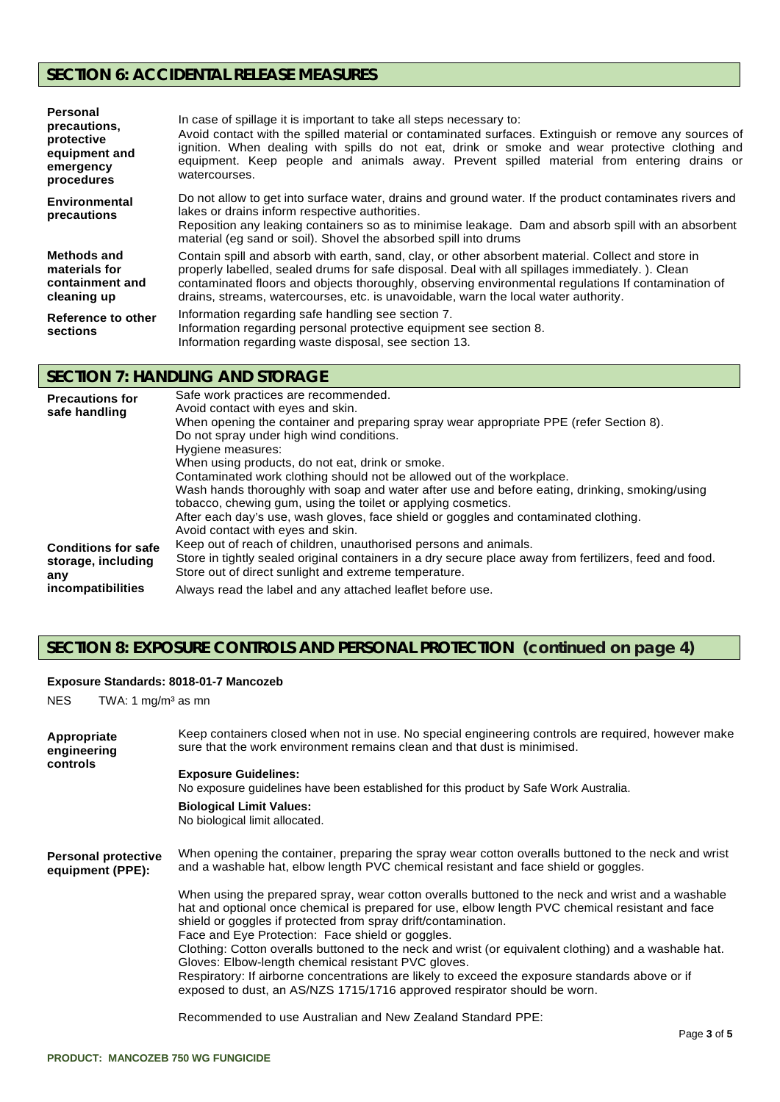# **SECTION 6: ACCIDENTAL RELEASE MEASURES**

| Personal<br>precautions.<br>protective<br>equipment and<br>emergency<br>procedures | In case of spillage it is important to take all steps necessary to:<br>Avoid contact with the spilled material or contaminated surfaces. Extinguish or remove any sources of<br>ignition. When dealing with spills do not eat, drink or smoke and wear protective clothing and<br>equipment. Keep people and animals away. Prevent spilled material from entering drains or<br>watercourses.        |
|------------------------------------------------------------------------------------|-----------------------------------------------------------------------------------------------------------------------------------------------------------------------------------------------------------------------------------------------------------------------------------------------------------------------------------------------------------------------------------------------------|
| Environmental<br>precautions                                                       | Do not allow to get into surface water, drains and ground water. If the product contaminates rivers and<br>lakes or drains inform respective authorities.<br>Reposition any leaking containers so as to minimise leakage. Dam and absorb spill with an absorbent<br>material (eg sand or soil). Shovel the absorbed spill into drums                                                                |
| Methods and<br>materials for<br>containment and<br>cleaning up                     | Contain spill and absorb with earth, sand, clay, or other absorbent material. Collect and store in<br>properly labelled, sealed drums for safe disposal. Deal with all spillages immediately.). Clean<br>contaminated floors and objects thoroughly, observing environmental regulations If contamination of<br>drains, streams, watercourses, etc. is unavoidable, warn the local water authority. |
| Reference to other<br>sections                                                     | Information regarding safe handling see section 7.<br>Information regarding personal protective equipment see section 8.<br>Information regarding waste disposal, see section 13.                                                                                                                                                                                                                   |

#### **SECTION 7: HANDLING AND STORAGE**

| <b>Precautions for</b><br>safe handling                                      | Safe work practices are recommended.<br>Avoid contact with eyes and skin.<br>When opening the container and preparing spray wear appropriate PPE (refer Section 8).<br>Do not spray under high wind conditions.<br>Hygiene measures:<br>When using products, do not eat, drink or smoke.<br>Contaminated work clothing should not be allowed out of the workplace.<br>Wash hands thoroughly with soap and water after use and before eating, drinking, smoking/using<br>tobacco, chewing gum, using the toilet or applying cosmetics. |
|------------------------------------------------------------------------------|---------------------------------------------------------------------------------------------------------------------------------------------------------------------------------------------------------------------------------------------------------------------------------------------------------------------------------------------------------------------------------------------------------------------------------------------------------------------------------------------------------------------------------------|
| <b>Conditions for safe</b><br>storage, including<br>any<br>incompatibilities | After each day's use, wash gloves, face shield or goggles and contaminated clothing.<br>Avoid contact with eyes and skin.<br>Keep out of reach of children, unauthorised persons and animals.<br>Store in tightly sealed original containers in a dry secure place away from fertilizers, feed and food.<br>Store out of direct sunlight and extreme temperature.<br>Always read the label and any attached leaflet before use.                                                                                                       |

# **SECTION 8: EXPOSURE CONTROLS AND PERSONAL PROTECTION (continued on page 4)**

#### **Exposure Standards: 8018-01-7 Mancozeb**

NES TWA: 1 mg/m<sup>3</sup> as mn

**Appropriate engineering controls** Keep containers closed when not in use. No special engineering controls are required, however make sure that the work environment remains clean and that dust is minimised. **Exposure Guidelines:** No exposure guidelines have been established for this product by Safe Work Australia. **Biological Limit Values:** No biological limit allocated. **Personal protective equipment (PPE):** When opening the container, preparing the spray wear cotton overalls buttoned to the neck and wrist and a washable hat, elbow length PVC chemical resistant and face shield or goggles. When using the prepared spray, wear cotton overalls buttoned to the neck and wrist and a washable hat and optional once chemical is prepared for use, elbow length PVC chemical resistant and face shield or goggles if protected from spray drift/contamination. Face and Eye Protection: Face shield or goggles. Clothing: Cotton overalls buttoned to the neck and wrist (or equivalent clothing) and a washable hat. Gloves: Elbow-length chemical resistant PVC gloves. Respiratory: If airborne concentrations are likely to exceed the exposure standards above or if exposed to dust, an AS/NZS 1715/1716 approved respirator should be worn. Recommended to use Australian and New Zealand Standard PPE: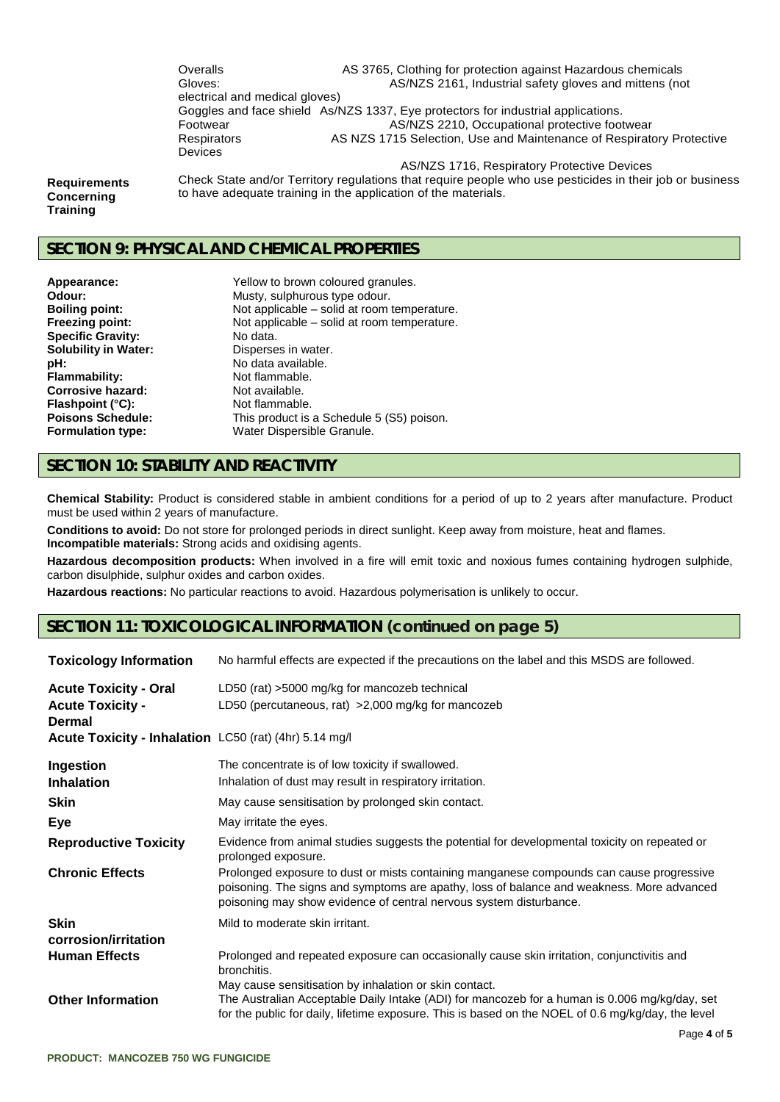Overalls **AS 3765, Clothing for protection against Hazardous chemicals**<br>AS/NZS 2161. Industrial safety gloves and mittens (no AS/NZS 2161, Industrial safety gloves and mittens (not electrical and medical gloves) Goggles and face shield As/NZS 1337, Eye protectors for industrial applications.<br>Footwear MS/NZS 2210, Occupational protective foom Footwear **AS/NZS 2210, Occupational protective footwear**<br>AS NZS 1715 Selection, Use and Maintenance of Respirate AS NZS 1715 Selection, Use and Maintenance of Respiratory Protective **Devices** 

**Requirements Concerning Training**

AS/NZS 1716, Respiratory Protective Devices

Check State and/or Territory regulations that require people who use pesticides in their job or business to have adequate training in the application of the materials.

## **SECTION 9: PHYSICAL AND CHEMICAL PROPERTIES**

| Appearance:                 | Yellow to brown coloured granules.          |
|-----------------------------|---------------------------------------------|
| Odour:                      | Musty, sulphurous type odour.               |
| <b>Boiling point:</b>       | Not applicable – solid at room temperature. |
| Freezing point:             | Not applicable – solid at room temperature. |
| <b>Specific Gravity:</b>    | No data.                                    |
| <b>Solubility in Water:</b> | Disperses in water.                         |
| pH:                         | No data available.                          |
| <b>Flammability:</b>        | Not flammable.                              |
| <b>Corrosive hazard:</b>    | Not available.                              |
| Flashpoint (°C):            | Not flammable.                              |
| <b>Poisons Schedule:</b>    | This product is a Schedule 5 (S5) poison.   |
| <b>Formulation type:</b>    | Water Dispersible Granule.                  |
|                             |                                             |

## **SECTION 10: STABILITY AND REACTIVITY**

**Chemical Stability:** Product is considered stable in ambient conditions for a period of up to 2 years after manufacture. Product must be used within 2 years of manufacture.

**Conditions to avoid:** Do not store for prolonged periods in direct sunlight. Keep away from moisture, heat and flames. **Incompatible materials:** Strong acids and oxidising agents.

**Hazardous decomposition products:** When involved in a fire will emit toxic and noxious fumes containing hydrogen sulphide, carbon disulphide, sulphur oxides and carbon oxides.

**Hazardous reactions:** No particular reactions to avoid. Hazardous polymerisation is unlikely to occur.

# **SECTION 11: TOXICOLOGICAL INFORMATION (continued on page 5)**

| <b>Toxicology Information</b>                                            | No harmful effects are expected if the precautions on the label and this MSDS are followed.                                                                                                                                                                   |
|--------------------------------------------------------------------------|---------------------------------------------------------------------------------------------------------------------------------------------------------------------------------------------------------------------------------------------------------------|
| <b>Acute Toxicity - Oral</b><br><b>Acute Toxicity -</b><br><b>Dermal</b> | LD50 (rat) >5000 mg/kg for mancozeb technical<br>LD50 (percutaneous, rat) $>2,000$ mg/kg for mancozeb                                                                                                                                                         |
| Acute Toxicity - Inhalation LC50 (rat) (4hr) 5.14 mg/l                   |                                                                                                                                                                                                                                                               |
| Ingestion                                                                | The concentrate is of low toxicity if swallowed.                                                                                                                                                                                                              |
| <b>Inhalation</b>                                                        | Inhalation of dust may result in respiratory irritation.                                                                                                                                                                                                      |
| <b>Skin</b>                                                              | May cause sensitisation by prolonged skin contact.                                                                                                                                                                                                            |
| Eye                                                                      | May irritate the eyes.                                                                                                                                                                                                                                        |
| <b>Reproductive Toxicity</b>                                             | Evidence from animal studies suggests the potential for developmental toxicity on repeated or<br>prolonged exposure.                                                                                                                                          |
| <b>Chronic Effects</b>                                                   | Prolonged exposure to dust or mists containing manganese compounds can cause progressive<br>poisoning. The signs and symptoms are apathy, loss of balance and weakness. More advanced<br>poisoning may show evidence of central nervous system disturbance.   |
| <b>Skin</b>                                                              | Mild to moderate skin irritant.                                                                                                                                                                                                                               |
| corrosion/irritation                                                     |                                                                                                                                                                                                                                                               |
| <b>Human Effects</b>                                                     | Prolonged and repeated exposure can occasionally cause skin irritation, conjunctivitis and<br>bronchitis.                                                                                                                                                     |
| <b>Other Information</b>                                                 | May cause sensitisation by inhalation or skin contact.<br>The Australian Acceptable Daily Intake (ADI) for mancozeb for a human is 0.006 mg/kg/day, set<br>for the public for daily, lifetime exposure. This is based on the NOEL of 0.6 mg/kg/day, the level |